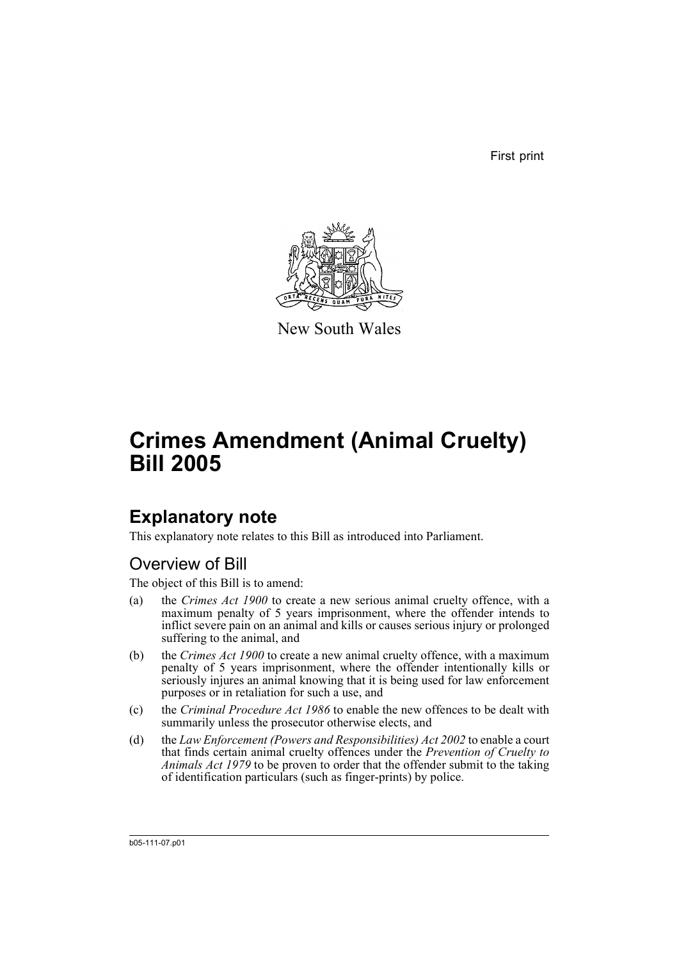First print



New South Wales

# **Crimes Amendment (Animal Cruelty) Bill 2005**

### **Explanatory note**

This explanatory note relates to this Bill as introduced into Parliament.

### Overview of Bill

The object of this Bill is to amend:

- (a) the *Crimes Act 1900* to create a new serious animal cruelty offence, with a maximum penalty of 5 years imprisonment, where the offender intends to inflict severe pain on an animal and kills or causes serious injury or prolonged suffering to the animal, and
- (b) the *Crimes Act 1900* to create a new animal cruelty offence, with a maximum penalty of 5 years imprisonment, where the offender intentionally kills or seriously injures an animal knowing that it is being used for law enforcement purposes or in retaliation for such a use, and
- (c) the *Criminal Procedure Act 1986* to enable the new offences to be dealt with summarily unless the prosecutor otherwise elects, and
- (d) the *Law Enforcement (Powers and Responsibilities) Act 2002* to enable a court that finds certain animal cruelty offences under the *Prevention of Cruelty to Animals Act 1979* to be proven to order that the offender submit to the taking of identification particulars (such as finger-prints) by police.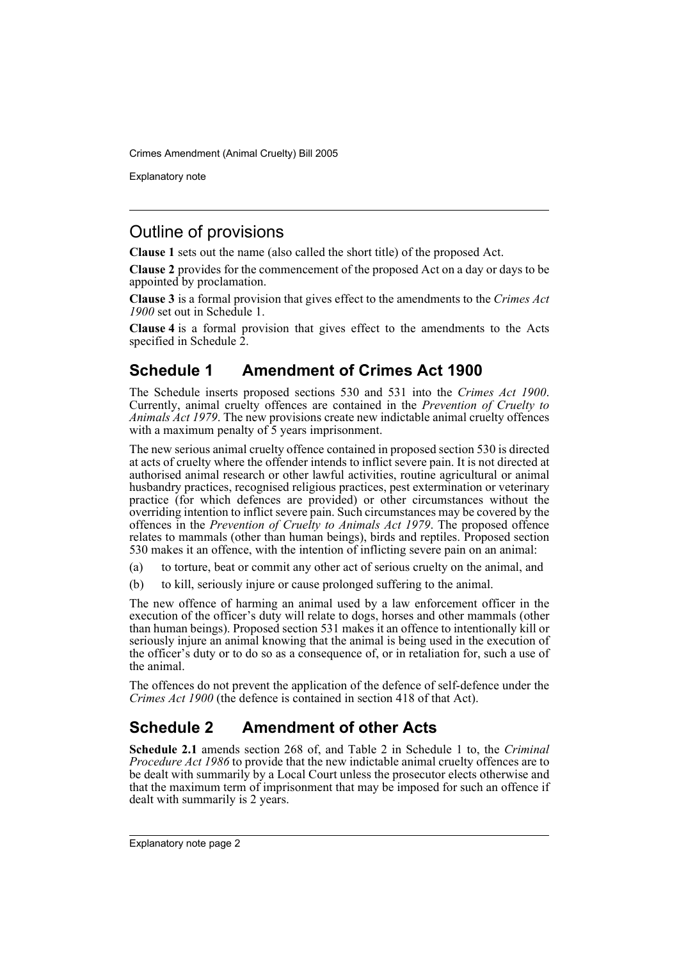Explanatory note

#### Outline of provisions

**Clause 1** sets out the name (also called the short title) of the proposed Act.

**Clause 2** provides for the commencement of the proposed Act on a day or days to be appointed by proclamation.

**Clause 3** is a formal provision that gives effect to the amendments to the *Crimes Act 1900* set out in Schedule 1.

**Clause 4** is a formal provision that gives effect to the amendments to the Acts specified in Schedule 2.

### **Schedule 1 Amendment of Crimes Act 1900**

The Schedule inserts proposed sections 530 and 531 into the *Crimes Act 1900*. Currently, animal cruelty offences are contained in the *Prevention of Cruelty to Animals Act 1979*. The new provisions create new indictable animal cruelty offences with a maximum penalty of 5 years imprisonment.

The new serious animal cruelty offence contained in proposed section 530 is directed at acts of cruelty where the offender intends to inflict severe pain. It is not directed at authorised animal research or other lawful activities, routine agricultural or animal husbandry practices, recognised religious practices, pest extermination or veterinary practice (for which defences are provided) or other circumstances without the overriding intention to inflict severe pain. Such circumstances may be covered by the offences in the *Prevention of Cruelty to Animals Act 1979*. The proposed offence relates to mammals (other than human beings), birds and reptiles. Proposed section 530 makes it an offence, with the intention of inflicting severe pain on an animal:

- (a) to torture, beat or commit any other act of serious cruelty on the animal, and
- (b) to kill, seriously injure or cause prolonged suffering to the animal.

The new offence of harming an animal used by a law enforcement officer in the execution of the officer's duty will relate to dogs, horses and other mammals (other than human beings). Proposed section 531 makes it an offence to intentionally kill or seriously injure an animal knowing that the animal is being used in the execution of the officer's duty or to do so as a consequence of, or in retaliation for, such a use of the animal.

The offences do not prevent the application of the defence of self-defence under the *Crimes Act 1900* (the defence is contained in section 418 of that Act).

### **Schedule 2 Amendment of other Acts**

**Schedule 2.1** amends section 268 of, and Table 2 in Schedule 1 to, the *Criminal Procedure Act 1986* to provide that the new indictable animal cruelty offences are to be dealt with summarily by a Local Court unless the prosecutor elects otherwise and that the maximum term of imprisonment that may be imposed for such an offence if dealt with summarily is 2 years.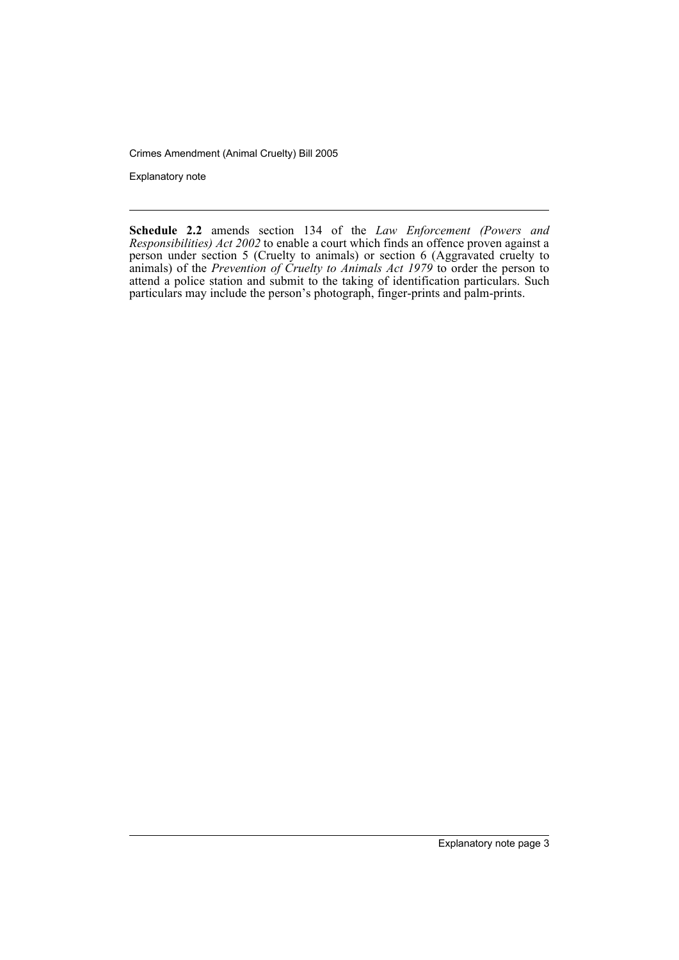Explanatory note

**Schedule 2.2** amends section 134 of the *Law Enforcement (Powers and Responsibilities) Act 2002* to enable a court which finds an offence proven against a person under section 5 (Cruelty to animals) or section 6 (Aggravated cruelty to animals) of the *Prevention of Cruelty to Animals Act 1979* to order the person to attend a police station and submit to the taking of identification particulars. Such particulars may include the person's photograph, finger-prints and palm-prints.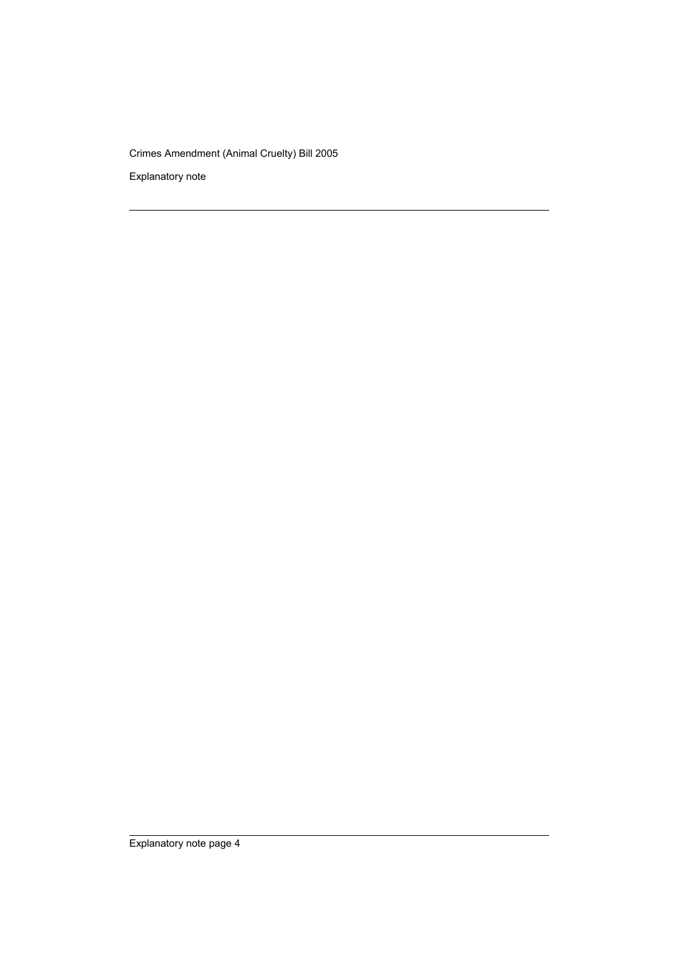Explanatory note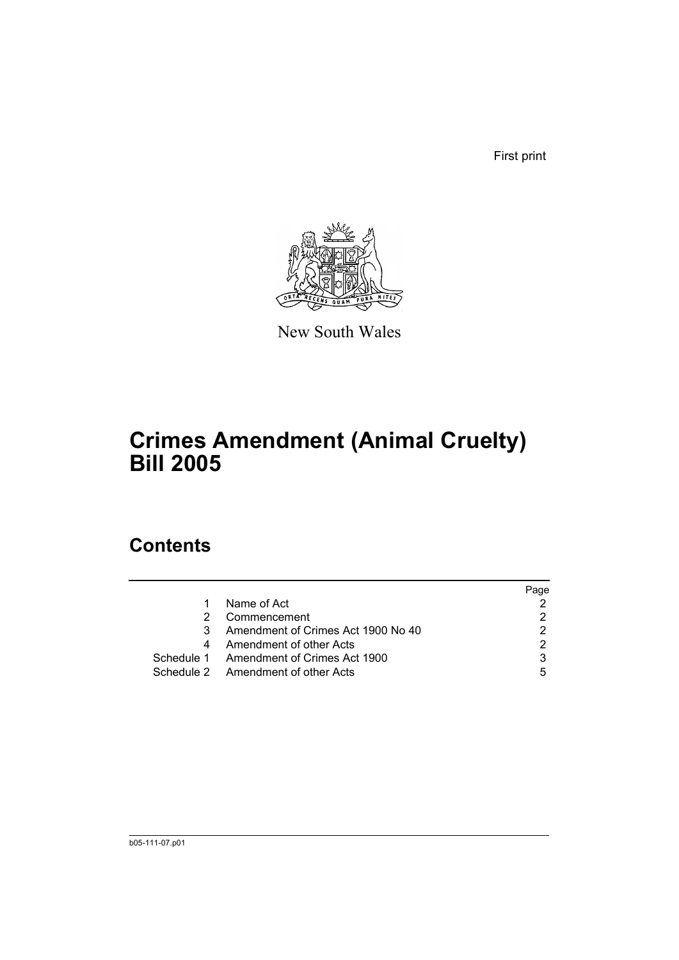First print



New South Wales

# **Crimes Amendment (Animal Cruelty) Bill 2005**

### **Contents**

|              |                                         | Page |
|--------------|-----------------------------------------|------|
| 1.           | Name of Act                             |      |
| 2            | Commencement                            |      |
| $\mathbf{3}$ | Amendment of Crimes Act 1900 No 40      |      |
| 4            | Amendment of other Acts                 |      |
|              | Schedule 1 Amendment of Crimes Act 1900 |      |
|              | Schedule 2 Amendment of other Acts      | 5    |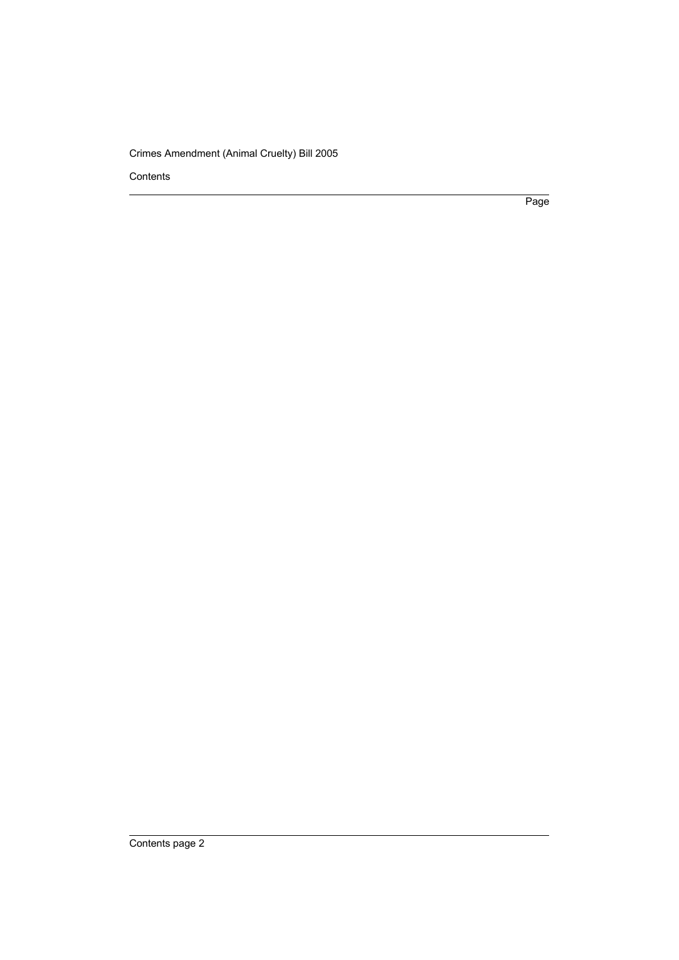Contents

Page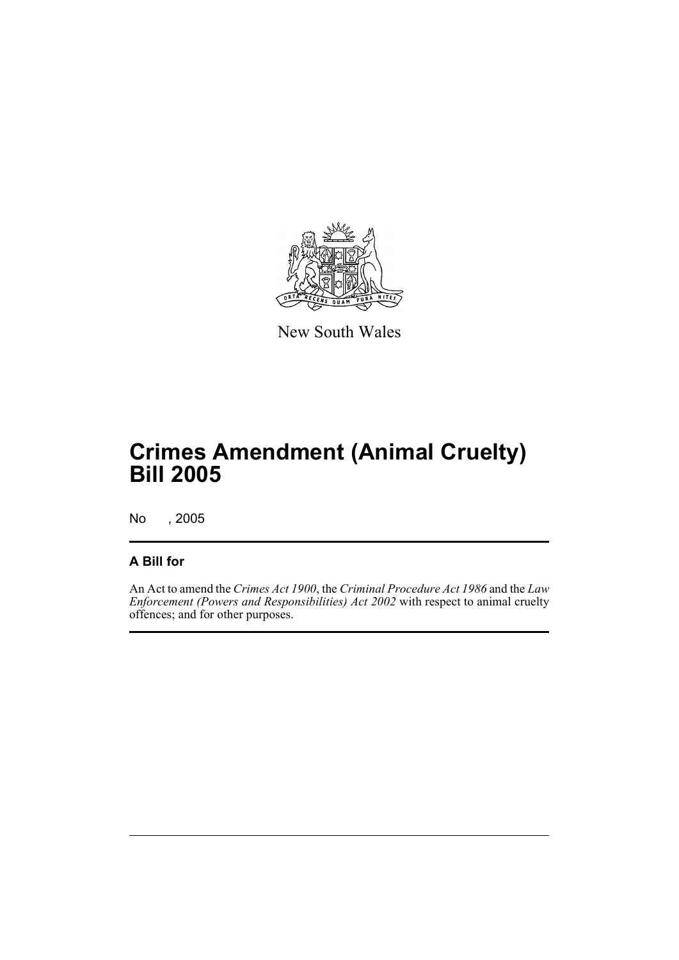

New South Wales

# **Crimes Amendment (Animal Cruelty) Bill 2005**

No , 2005

#### **A Bill for**

An Act to amend the *Crimes Act 1900*, the *Criminal Procedure Act 1986* and the *Law Enforcement (Powers and Responsibilities) Act 2002* with respect to animal cruelty offences; and for other purposes.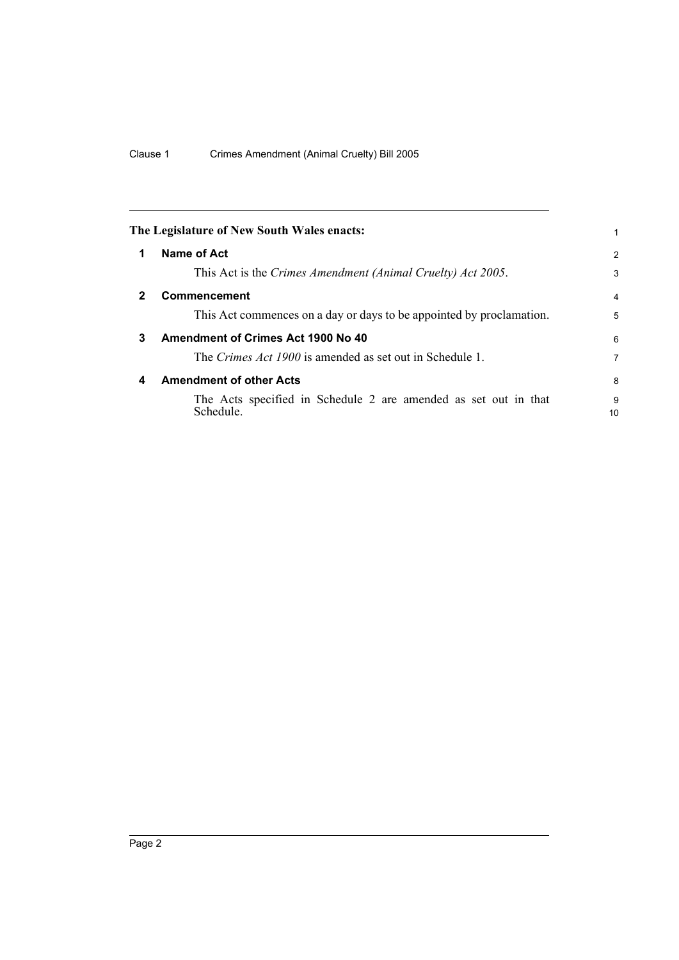<span id="page-7-3"></span><span id="page-7-2"></span><span id="page-7-1"></span><span id="page-7-0"></span>

|    | The Legislature of New South Wales enacts:                                   | 1              |
|----|------------------------------------------------------------------------------|----------------|
| 1  | Name of Act                                                                  | 2              |
|    | This Act is the Crimes Amendment (Animal Cruelty) Act 2005.                  | 3              |
| 2. | Commencement                                                                 | $\overline{4}$ |
|    | This Act commences on a day or days to be appointed by proclamation.         | 5              |
| 3  | <b>Amendment of Crimes Act 1900 No 40</b>                                    | 6              |
|    | The <i>Crimes Act 1900</i> is amended as set out in Schedule 1.              | 7              |
| 4  | <b>Amendment of other Acts</b>                                               | 8              |
|    | The Acts specified in Schedule 2 are amended as set out in that<br>Schedule. | 9<br>10        |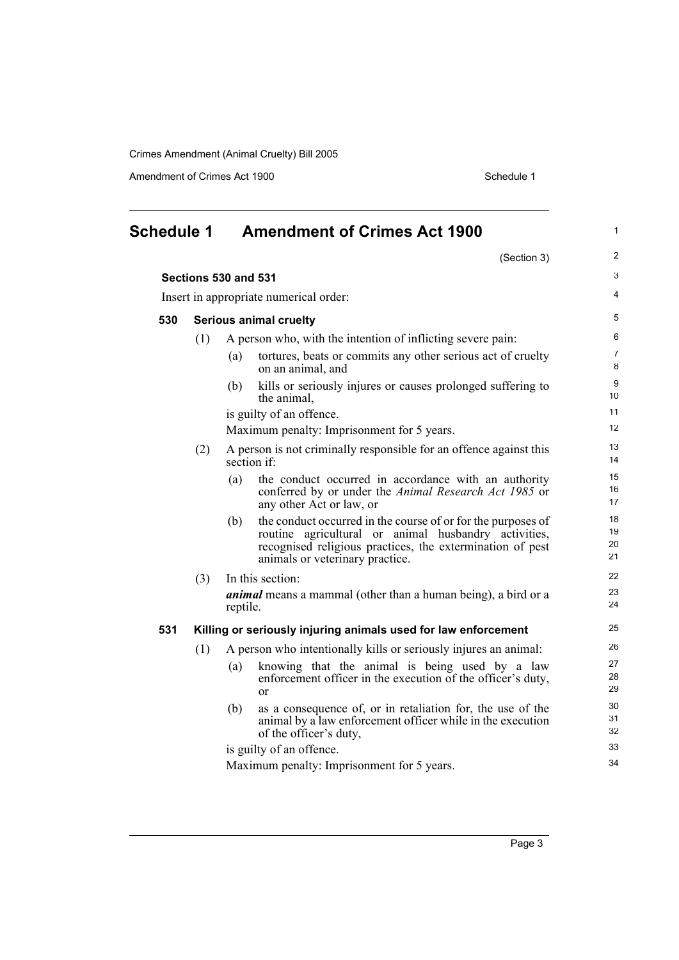Amendment of Crimes Act 1900 Schedule 1

<span id="page-8-0"></span>

| <b>Schedule 1</b>                      |     |          | <b>Amendment of Crimes Act 1900</b>                                                                                                                                                                                  | $\mathbf{1}$         |  |
|----------------------------------------|-----|----------|----------------------------------------------------------------------------------------------------------------------------------------------------------------------------------------------------------------------|----------------------|--|
|                                        |     |          | (Section 3)                                                                                                                                                                                                          | $\overline{2}$       |  |
| Sections 530 and 531                   |     |          |                                                                                                                                                                                                                      |                      |  |
| Insert in appropriate numerical order: |     |          |                                                                                                                                                                                                                      |                      |  |
| <b>Serious animal cruelty</b><br>530   |     |          |                                                                                                                                                                                                                      | 5                    |  |
|                                        | (1) |          | A person who, with the intention of inflicting severe pain:                                                                                                                                                          | 6                    |  |
|                                        |     | (a)      | tortures, beats or commits any other serious act of cruelty<br>on an animal, and                                                                                                                                     | $\overline{7}$<br>8  |  |
|                                        |     | (b)      | kills or seriously injures or causes prolonged suffering to<br>the animal,                                                                                                                                           | 9<br>10              |  |
|                                        |     |          | is guilty of an offence.                                                                                                                                                                                             | 11                   |  |
|                                        |     |          | Maximum penalty: Imprisonment for 5 years.                                                                                                                                                                           | 12                   |  |
|                                        | (2) |          | A person is not criminally responsible for an offence against this<br>section if:                                                                                                                                    | 13<br>14             |  |
|                                        |     | (a)      | the conduct occurred in accordance with an authority<br>conferred by or under the Animal Research Act 1985 or<br>any other Act or law, or                                                                            | 15<br>16<br>17       |  |
|                                        |     | (b)      | the conduct occurred in the course of or for the purposes of<br>routine agricultural or animal husbandry activities,<br>recognised religious practices, the extermination of pest<br>animals or veterinary practice. | 18<br>19<br>20<br>21 |  |
|                                        | (3) |          | In this section:                                                                                                                                                                                                     | 22                   |  |
|                                        |     | reptile. | <i>animal</i> means a mammal (other than a human being), a bird or a                                                                                                                                                 | 23<br>24             |  |
| 531                                    |     |          | Killing or seriously injuring animals used for law enforcement                                                                                                                                                       | 25                   |  |
|                                        | (1) |          | A person who intentionally kills or seriously injures an animal:                                                                                                                                                     | 26                   |  |
|                                        |     | (a)      | knowing that the animal is being used by a law<br>enforcement officer in the execution of the officer's duty,<br>$\alpha$                                                                                            | 27<br>28<br>29       |  |
|                                        |     | (b)      | as a consequence of, or in retaliation for, the use of the<br>animal by a law enforcement officer while in the execution<br>of the officer's duty,                                                                   | 30<br>31<br>32       |  |
|                                        |     |          | is guilty of an offence.                                                                                                                                                                                             | 33                   |  |
|                                        |     |          | Maximum penalty: Imprisonment for 5 years.                                                                                                                                                                           | 34                   |  |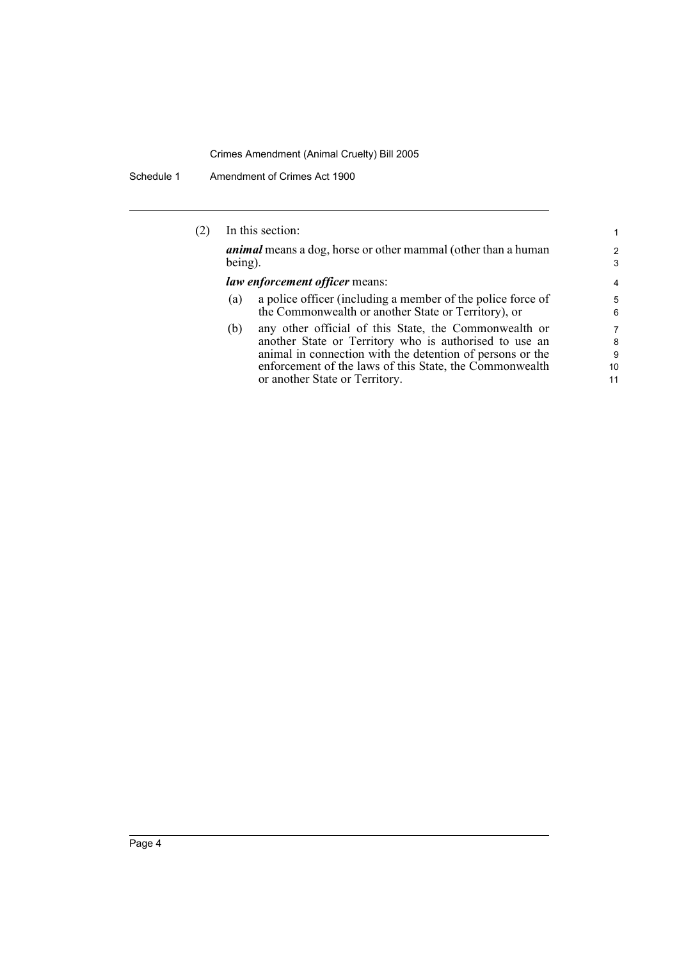Schedule 1 Amendment of Crimes Act 1900

| (2) |                                                                                 | In this section:                                                                                                                                                                                                                                                          |                                      |
|-----|---------------------------------------------------------------------------------|---------------------------------------------------------------------------------------------------------------------------------------------------------------------------------------------------------------------------------------------------------------------------|--------------------------------------|
|     | <i>animal</i> means a dog, horse or other mammal (other than a human<br>being). |                                                                                                                                                                                                                                                                           | 2<br>3                               |
|     |                                                                                 | <i>law enforcement officer means:</i>                                                                                                                                                                                                                                     | $\overline{4}$                       |
|     | (a)                                                                             | a police officer (including a member of the police force of<br>the Commonwealth or another State or Territory), or                                                                                                                                                        | 5<br>6                               |
|     | (b)                                                                             | any other official of this State, the Commonwealth or<br>another State or Territory who is authorised to use an<br>animal in connection with the detention of persons or the<br>enforcement of the laws of this State, the Commonwealth<br>or another State or Territory. | $\overline{7}$<br>8<br>9<br>10<br>11 |